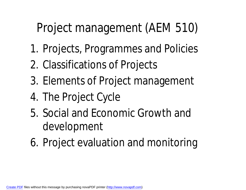### Project management (AEM 510)

- 1. Projects, Programmes and Policies
- 2. Classifications of Projects
- 3. Elements of Project management
- 4. The Project Cycle
- 5. Social and Economic Growth and development
- 6. Project evaluation and monitoring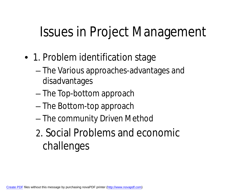## Issues in Project Management

- 1. Problem identification stage
	- The Various approaches-advantages and disadvantages
	- The Top-bottom approach
	- The Bottom-top approach
	- The community Driven Method
	- 2. Social Problems and economic challenges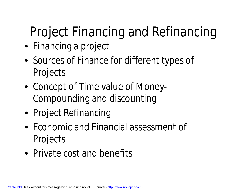# Project Financing and Refinancing

- Financing a project
- Sources of Finance for different types of Projects
- Concept of Time value of Money-Compounding and discounting
- Project Refinancing
- Economic and Financial assessment of Projects
- Private cost and benefits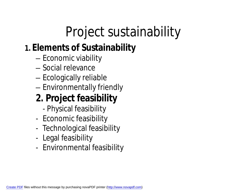## Project sustainability

#### **1. Elements of Sustainability**

- Economic viability
- Social relevance
- Ecologically reliable
- Environmentally friendly

#### **2. Project feasibility**

- Physical feasibility
- Economic feasibility
- Technological feasibility
- Legal feasibility
- Environmental feasibility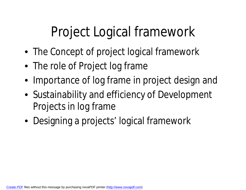## Project Logical framework

- The Concept of project logical framework
- The role of Project log frame
- Importance of log frame in project design and
- Sustainability and efficiency of Development Projects in log frame
- Designing a projects' logical framework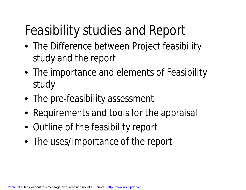## *Feasibility studies and Report*

- The Difference between Project feasibility study and the report
- The importance and elements of Feasibility study
- The pre-feasibility assessment
- Requirements and tools for the appraisal
- Outline of the feasibility report
- The uses/importance of the report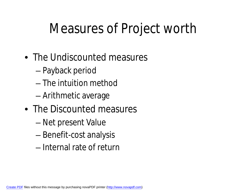## Measures of Project worth

- The Undiscounted measures
	- Payback period
	- The intuition method
	- Arithmetic average
- The Discounted measures
	- Net present Value
	- Benefit-cost analysis
	- Internal rate of return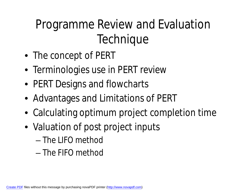### Programme Review and Evaluation **Technique**

- The concept of PERT
- Terminologies use in PERT review
- PERT Designs and flowcharts
- Advantages and Limitations of PERT
- Calculating optimum project completion time
- Valuation of post project inputs
	- The LIFO method
	- The FIFO method